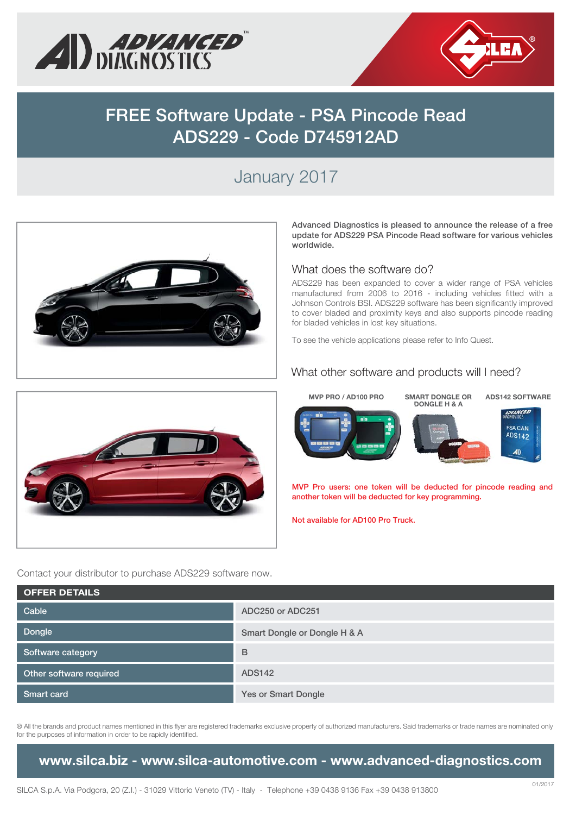



# **FREE Software Update - PSA Pincode Read ADS229 - Code D745912AD**

## January 2017



**Advanced Diagnostics is pleased to announce the release of a free update for ADS229 PSA Pincode Read software for various vehicles worldwide.** 

#### What does the software do?

ADS229 has been expanded to cover a wider range of PSA vehicles manufactured from 2006 to 2016 - including vehicles fitted with a Johnson Controls BSI. ADS229 software has been significantly improved to cover bladed and proximity keys and also supports pincode reading for bladed vehicles in lost key situations.

To see the vehicle applications please refer to Info Quest.

#### What other software and products will I need?





**MVP Pro users: one token will be deducted for pincode reading and another token will be deducted for key programming.** 

**Not available for AD100 Pro Truck.**

Contact your distributor to purchase ADS229 software now.

| <b>OFFER DETAILS</b>    |                              |
|-------------------------|------------------------------|
| Cable                   | ADC250 or ADC251             |
| Dongle                  | Smart Dongle or Dongle H & A |
| Software category       | B                            |
| Other software required | <b>ADS142</b>                |
| <b>Smart card</b>       | Yes or Smart Dongle          |

® All the brands and product names mentioned in this flyer are registered trademarks exclusive property of authorized manufacturers. Said trademarks or trade names are nominated only for the purposes of information in order to be rapidly identified.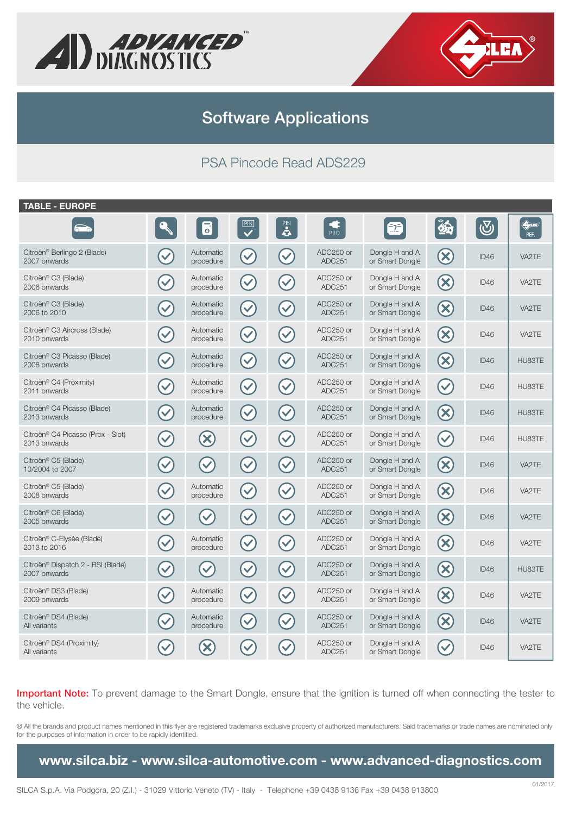



### PSA Pincode Read ADS229

| <b>TABLE - EUROPE</b>                             |                      |                         |                      |                      |                            |                                   |                         |            |                                          |
|---------------------------------------------------|----------------------|-------------------------|----------------------|----------------------|----------------------------|-----------------------------------|-------------------------|------------|------------------------------------------|
| െറ                                                |                      | $\overline{\mathbf{e}}$ | PIN                  | PIN<br>4             | Œ<br>PRO                   |                                   | $\mathbf{\hat{a}}$      | $\bigcirc$ | $\bigoplus_{i=1}^n \mathbb{Z}^n$<br>REF. |
| Citroën® Berlingo 2 (Blade)<br>2007 onwards       |                      | Automatic<br>procedure  | $\blacktriangledown$ | $\checkmark$         | ADC250 or<br><b>ADC251</b> | Dongle H and A<br>or Smart Dongle | $\infty$                | ID46       | VA2TE                                    |
| Citroën® C3 (Blade)<br>2006 onwards               |                      | Automatic<br>procedure  | $(\checkmark)$       | $\blacktriangledown$ | ADC250 or<br>ADC251        | Dongle H and A<br>or Smart Dongle | $\left( \infty \right)$ | ID46       | VA2TE                                    |
| Citroën® C3 (Blade)<br>2006 to 2010               | $\blacktriangledown$ | Automatic<br>procedure  | $\blacktriangledown$ | $\blacktriangledown$ | ADC250 or<br><b>ADC251</b> | Dongle H and A<br>or Smart Dongle | $\bigotimes$            | ID46       | VA2TE                                    |
| Citroën® C3 Aircross (Blade)<br>2010 onwards      | $\blacktriangledown$ | Automatic<br>procedure  | $\blacktriangledown$ | $\blacktriangledown$ | ADC250 or<br>ADC251        | Dongle H and A<br>or Smart Dongle | $\bigotimes$            | ID46       | VA2TE                                    |
| Citroën® C3 Picasso (Blade)<br>2008 onwards       |                      | Automatic<br>procedure  | $\blacktriangledown$ | $\blacktriangledown$ | ADC250 or<br>ADC251        | Dongle H and A<br>or Smart Dongle | $\bigotimes$            | ID46       | HU83TE                                   |
| Citroën® C4 (Proximity)<br>2011 onwards           |                      | Automatic<br>procedure  | $\checkmark$         | $\checkmark$         | ADC250 or<br>ADC251        | Dongle H and A<br>or Smart Dongle | $\blacktriangledown$    | ID46       | HU83TE                                   |
| Citroën® C4 Picasso (Blade)<br>2013 onwards       | $\blacktriangledown$ | Automatic<br>procedure  | $\blacktriangledown$ | $\checkmark$         | ADC250 or<br>ADC251        | Dongle H and A<br>or Smart Dongle | $\infty$                | ID46       | HU83TE                                   |
| Citroën® C4 Picasso (Prox - Slot)<br>2013 onwards | $\checkmark$         | $\left( \infty \right)$ | $\blacktriangledown$ | $\blacktriangledown$ | ADC250 or<br>ADC251        | Dongle H and A<br>or Smart Dongle | $\blacktriangledown$    | ID46       | HU83TE                                   |
| Citroën® C5 (Blade)<br>10/2004 to 2007            |                      | $\checkmark$            | $\blacktriangledown$ | $\blacktriangledown$ | ADC250 or<br>ADC251        | Dongle H and A<br>or Smart Dongle | $\infty$                | ID46       | VA2TE                                    |
| Citroën® C5 (Blade)<br>2008 onwards               |                      | Automatic<br>procedure  | $\blacktriangledown$ | $\checkmark$         | ADC250 or<br>ADC251        | Dongle H and A<br>or Smart Dongle | $\infty$                | ID46       | VA2TE                                    |
| Citroën® C6 (Blade)<br>2005 onwards               |                      |                         | $\checkmark$         | $\checkmark$         | ADC250 or<br>ADC251        | Dongle H and A<br>or Smart Dongle | $\bigotimes$            | ID46       | VA2TE                                    |
| Citroën® C-Elysée (Blade)<br>2013 to 2016         | $\checkmark$         | Automatic<br>procedure  | $\mathcal{C}$        | $\blacktriangledown$ | ADC250 or<br>ADC251        | Dongle H and A<br>or Smart Dongle | $\left( \infty \right)$ | ID46       | VA2TE                                    |
| Citroën® Dispatch 2 - BSI (Blade)<br>2007 onwards | $\checkmark$         |                         | $\blacktriangledown$ | $\blacktriangledown$ | ADC250 or<br><b>ADC251</b> | Dongle H and A<br>or Smart Dongle | $\bigotimes$            | ID46       | HU83TE                                   |
| Citroën® DS3 (Blade)<br>2009 onwards              |                      | Automatic<br>procedure  | $\blacktriangledown$ | $\checkmark$         | ADC250 or<br>ADC251        | Dongle H and A<br>or Smart Dongle | $\bigotimes$            | ID46       | VA2TE                                    |
| Citroën® DS4 (Blade)<br>All variants              |                      | Automatic<br>procedure  | $\checkmark$         | $\checkmark$         | ADC250 or<br>ADC251        | Dongle H and A<br>or Smart Dongle | $\infty$                | ID46       | VA2TE                                    |
| Citroën® DS4 (Proximity)<br>All variants          |                      |                         |                      |                      | ADC250 or<br>ADC251        | Dongle H and A<br>or Smart Dongle |                         | ID46       | VA2TE                                    |

**Important Note:** To prevent damage to the Smart Dongle, ensure that the ignition is turned off when connecting the tester to the vehicle.

® All the brands and product names mentioned in this flyer are registered trademarks exclusive property of authorized manufacturers. Said trademarks or trade names are nominated only for the purposes of information in order to be rapidly identified.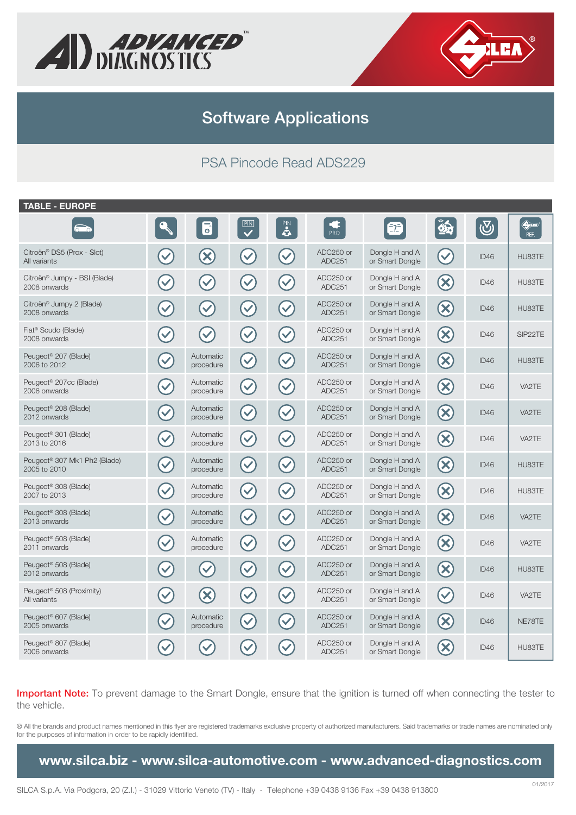



#### PSA Pincode Read ADS229

| <b>TABLE - EUROPE</b>                                    |                      |                            |                         |                      |                            |                                   |                             |                         |                                                |
|----------------------------------------------------------|----------------------|----------------------------|-------------------------|----------------------|----------------------------|-----------------------------------|-----------------------------|-------------------------|------------------------------------------------|
| $\overline{\circ}$                                       |                      | $\overline{\mathbf{b}}$    | $\overline{\mathbf{P}}$ | PIN<br>4             | Œ<br>PRO                   |                                   | 85                          | $\overline{\mathbb{S}}$ | $\bigoplus\limits_{i=1}^n\mathbb{Z}_p$<br>REF. |
| Citroën® DS5 (Prox - Slot)<br>All variants               |                      | $\left( \mathbf{X}\right)$ | $\blacktriangledown$    | $\checkmark$         | ADC250 or<br>ADC251        | Dongle H and A<br>or Smart Dongle | $\checkmark$                | ID46                    | HU83TE                                         |
| Citroën <sup>®</sup> Jumpy - BSI (Blade)<br>2008 onwards | $\checkmark$         | $\checkmark$               | $\checkmark$            | $\blacktriangledown$ | ADC250 or<br>ADC251        | Dongle H and A<br>or Smart Dongle | $\left(\!\mathsf{x}\right)$ | ID46                    | HU83TE                                         |
| Citroën <sup>®</sup> Jumpy 2 (Blade)<br>2008 onwards     | $\blacktriangledown$ | $\blacktriangledown$       | $\blacktriangledown$    | $\blacktriangledown$ | ADC250 or<br>ADC251        | Dongle H and A<br>or Smart Dongle | $\bigotimes$                | ID46                    | HU83TE                                         |
| Fiat <sup>®</sup> Scudo (Blade)<br>2008 onwards          |                      | $\checkmark$               | $\blacktriangledown$    | $\checkmark$         | ADC250 or<br>ADC251        | Dongle H and A<br>or Smart Dongle | $\bigotimes$                | ID46                    | SIP22TE                                        |
| Peugeot <sup>®</sup> 207 (Blade)<br>2006 to 2012         |                      | Automatic<br>procedure     | $\checkmark$            | $\checkmark$         | ADC250 or<br><b>ADC251</b> | Dongle H and A<br>or Smart Dongle | $\bigotimes$                | ID46                    | HU83TE                                         |
| Peugeot <sup>®</sup> 207cc (Blade)<br>2006 onwards       |                      | Automatic<br>procedure     | $\checkmark$            | $\checkmark$         | ADC250 or<br>ADC251        | Dongle H and A<br>or Smart Dongle | $\left( \infty \right)$     | ID46                    | VA2TE                                          |
| Peugeot <sup>®</sup> 208 (Blade)<br>2012 onwards         | $\checkmark$         | Automatic<br>procedure     | $\blacktriangledown$    | $\checkmark$         | ADC250 or<br>ADC251        | Dongle H and A<br>or Smart Dongle | $\left(\infty\right)$       | ID46                    | VA2TE                                          |
| Peugeot <sup>®</sup> 301 (Blade)<br>2013 to 2016         |                      | Automatic<br>procedure     | $\blacktriangledown$    | $\blacktriangledown$ | ADC250 or<br>ADC251        | Dongle H and A<br>or Smart Dongle | $\left(\mathsf{x}\right)$   | ID46                    | VA2TE                                          |
| Peugeot <sup>®</sup> 307 Mk1 Ph2 (Blade)<br>2005 to 2010 |                      | Automatic<br>procedure     | $\blacktriangledown$    | $\checkmark$         | ADC250 or<br>ADC251        | Dongle H and A<br>or Smart Dongle | $\infty$                    | ID46                    | HU83TE                                         |
| Peugeot <sup>®</sup> 308 (Blade)<br>2007 to 2013         |                      | Automatic<br>procedure     | $\blacktriangledown$    | $\checkmark$         | ADC250 or<br>ADC251        | Dongle H and A<br>or Smart Dongle | $\bigotimes$                | ID46                    | HU83TE                                         |
| Peugeot <sup>®</sup> 308 (Blade)<br>2013 onwards         |                      | Automatic<br>procedure     | $\checkmark$            | $\checkmark$         | ADC250 or<br>ADC251        | Dongle H and A<br>or Smart Dongle | $\bigotimes$                | ID46                    | VA2TE                                          |
| Peugeot <sup>®</sup> 508 (Blade)<br>2011 onwards         |                      | Automatic<br>procedure     | $(\checkmark)$          | $\checkmark$         | ADC250 or<br>ADC251        | Dongle H and A<br>or Smart Dongle | $\infty$                    | ID46                    | VA2TE                                          |
| Peugeot <sup>®</sup> 508 (Blade)<br>2012 onwards         |                      | $\checkmark$               | $\blacktriangledown$    | $\blacktriangledown$ | ADC250 or<br>ADC251        | Dongle H and A<br>or Smart Dongle | $\bigotimes$                | ID46                    | HU83TE                                         |
| Peugeot <sup>®</sup> 508 (Proximity)<br>All variants     |                      | $\bm{\infty}$              | $\blacktriangledown$    | $\checkmark$         | ADC250 or<br>ADC251        | Dongle H and A<br>or Smart Dongle | $\blacktriangledown$        | ID46                    | VA2TE                                          |
| Peugeot <sup>®</sup> 607 (Blade)<br>2005 onwards         |                      | Automatic<br>procedure     | $\checkmark$            |                      | ADC250 or<br>ADC251        | Dongle H and A<br>or Smart Dongle | $\infty$                    | ID46                    | NE78TE                                         |
| Peugeot <sup>®</sup> 807 (Blade)<br>2006 onwards         |                      |                            |                         |                      | ADC250 or<br>ADC251        | Dongle H and A<br>or Smart Dongle | $\mathbf x$                 | ID <sub>46</sub>        | HU83TE                                         |

**Important Note:** To prevent damage to the Smart Dongle, ensure that the ignition is turned off when connecting the tester to the vehicle.

® All the brands and product names mentioned in this flyer are registered trademarks exclusive property of authorized manufacturers. Said trademarks or trade names are nominated only for the purposes of information in order to be rapidly identified.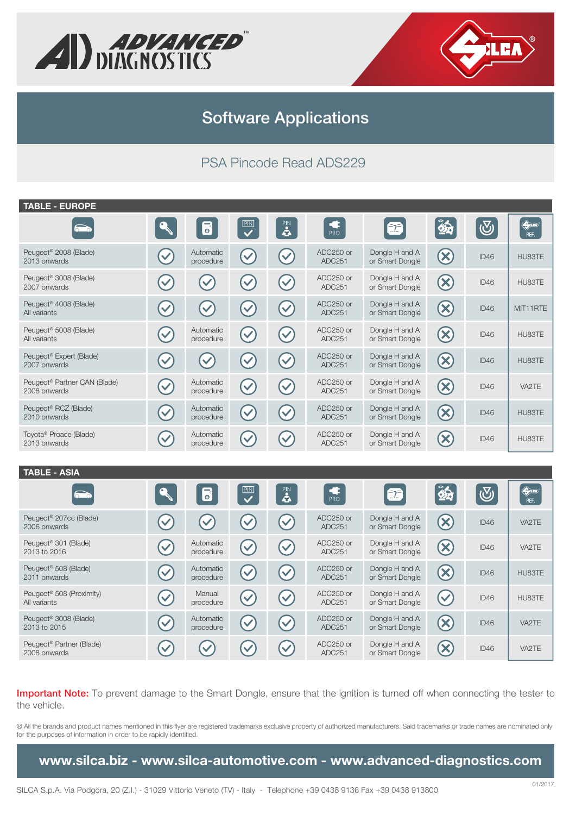



### PSA Pincode Read ADS229

| <b>TABLE - EUROPE</b>                                    |                      |                         |                         |                      |                        |                                   |                            |            |                     |
|----------------------------------------------------------|----------------------|-------------------------|-------------------------|----------------------|------------------------|-----------------------------------|----------------------------|------------|---------------------|
| $\bullet$                                                |                      | $\overline{\mathbf{c}}$ | $\overline{\mathbf{v}}$ | PIN<br>4             | $\frac{1}{\text{PRO}}$ | 2                                 | $\hat{\mathbf{z}}$         | $\bigcirc$ | <b>QUEA</b><br>REF. |
| Peugeot <sup>®</sup> 2008 (Blade)<br>2013 onwards        |                      | Automatic<br>procedure  | $\checkmark$            |                      | ADC250 or<br>ADC251    | Dongle H and A<br>or Smart Dongle | $\bigotimes$               | ID46       | HU83TE              |
| Peugeot <sup>®</sup> 3008 (Blade)<br>2007 onwards        | $\checkmark$         | $\checkmark$            |                         | $\checkmark$         | ADC250 or<br>ADC251    | Dongle H and A<br>or Smart Dongle | $\infty$                   | ID46       | HU83TE              |
| Peugeot <sup>®</sup> 4008 (Blade)<br>All variants        | $\checkmark$         | $\checkmark$            |                         |                      | ADC250 or<br>ADC251    | Dongle H and A<br>or Smart Dongle | $\bigotimes$               | ID46       | MIT11RTE            |
| Peugeot <sup>®</sup> 5008 (Blade)<br>All variants        | $\checkmark$         | Automatic<br>procedure  | $\blacktriangledown$    |                      | ADC250 or<br>ADC251    | Dongle H and A<br>or Smart Dongle | $\infty$                   | ID46       | HU83TE              |
| Peugeot <sup>®</sup> Expert (Blade)<br>2007 onwards      | $\checkmark$         | $\blacktriangledown$    | $\checkmark$            | $\blacktriangledown$ | ADC250 or<br>ADC251    | Dongle H and A<br>or Smart Dongle | $\infty$                   | ID46       | HU83TE              |
| Peugeot <sup>®</sup> Partner CAN (Blade)<br>2008 onwards | $\checkmark$         | Automatic<br>procedure  | $\blacktriangledown$    | $\blacktriangledown$ | ADC250 or<br>ADC251    | Dongle H and A<br>or Smart Dongle | $\infty$                   | ID46       | VA2TE               |
| Peugeot <sup>®</sup> RCZ (Blade)<br>2010 onwards         | $\blacktriangledown$ | Automatic<br>procedure  | $\blacktriangledown$    | $\blacktriangledown$ | ADC250 or<br>ADC251    | Dongle H and A<br>or Smart Dongle | $\bigotimes$               | ID46       | HU83TE              |
| Toyota <sup>®</sup> Proace (Blade)<br>2013 onwards       |                      | Automatic<br>procedure  | $\checkmark$            |                      | ADC250 or<br>ADC251    | Dongle H and A<br>or Smart Dongle | $\left( \mathsf{x}\right)$ | ID46       | HU83TE              |

#### **TABLE - ASIA**

| $\sum$                                               |              | $\overline{\mathbf{c}}$ | $\sqrt{\frac{\mathbb{P} N}{2}}$ | PIN<br>4 | PRO                 | $\blacksquare$                    | 85                      | $\bigcirc$ | $\bigoplus$ IEA<br>REF. |
|------------------------------------------------------|--------------|-------------------------|---------------------------------|----------|---------------------|-----------------------------------|-------------------------|------------|-------------------------|
| Peugeot <sup>®</sup> 207cc (Blade)<br>2006 onwards   |              | $\checkmark$            |                                 |          | ADC250 or<br>ADC251 | Dongle H and A<br>or Smart Dongle | $\left( \infty \right)$ | ID46       | VA2TE                   |
| Peugeot <sup>®</sup> 301 (Blade)<br>2013 to 2016     |              | Automatic<br>procedure  | $\blacktriangledown$            |          | ADC250 or<br>ADC251 | Dongle H and A<br>or Smart Dongle | $\left( \infty \right)$ | ID46       | VA2TE                   |
| Peugeot <sup>®</sup> 508 (Blade)<br>2011 onwards     |              | Automatic<br>procedure  | $\blacktriangledown$            |          | ADC250 or<br>ADC251 | Dongle H and A<br>or Smart Dongle | $\infty$                | ID46       | HU83TE                  |
| Peugeot <sup>®</sup> 508 (Proximity)<br>All variants | $\checkmark$ | Manual<br>procedure     | $\blacktriangledown$            |          | ADC250 or<br>ADC251 | Dongle H and A<br>or Smart Dongle | $\blacktriangledown$    | ID46       | HU83TE                  |
| Peugeot <sup>®</sup> 3008 (Blade)<br>2013 to 2015    |              | Automatic<br>procedure  | $\blacktriangledown$            |          | ADC250 or<br>ADC251 | Dongle H and A<br>or Smart Dongle | $\infty$                | ID46       | VA2TE                   |
| Peugeot <sup>®</sup> Partner (Blade)<br>2008 onwards |              | $\checkmark$            |                                 |          | ADC250 or<br>ADC251 | Dongle H and A<br>or Smart Dongle | $\bm{\times}$           | ID46       | VA2TE                   |

**Important Note:** To prevent damage to the Smart Dongle, ensure that the ignition is turned off when connecting the tester to the vehicle.

® All the brands and product names mentioned in this flyer are registered trademarks exclusive property of authorized manufacturers. Said trademarks or trade names are nominated only for the purposes of information in order to be rapidly identified.